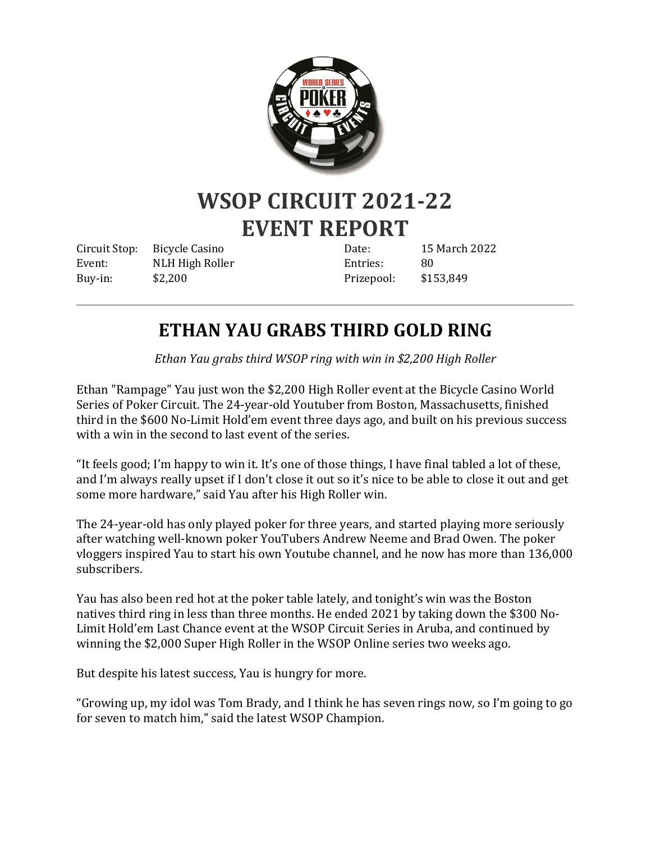

## **WSOP CIRCUIT 2021-22 EVENT REPORT**

Circuit Stop: Bicycle Casino Event: NLH High Roller Buy-in: \$2,200

Date: 15 March 2022 Entries: 80 Prizepool: \$153,849

## **ETHAN YAU GRABS THIRD GOLD RING**

*Ethan Yau grabs third WSOP ring with win in \$2,200 High Roller*

Ethan "Rampage" Yau just won the \$2,200 High Roller event at the Bicycle Casino World Series of Poker Circuit. The 24-year-old Youtuber from Boston, Massachusetts, finished third in the \$600 No-Limit Hold'em event three days ago, and built on his previous success with a win in the second to last event of the series.

"It feels good; I'm happy to win it. It's one of those things, I have final tabled a lot of these, and I'm always really upset if I don't close it out so it's nice to be able to close it out and get some more hardware," said Yau after his High Roller win.

The 24-year-old has only played poker for three years, and started playing more seriously after watching well-known poker YouTubers Andrew Neeme and Brad Owen. The poker vloggers inspired Yau to start his own Youtube channel, and he now has more than 136,000 subscribers.

Yau has also been red hot at the poker table lately, and tonight's win was the Boston natives third ring in less than three months. He ended 2021 by taking down the \$300 No-Limit Hold'em Last Chance event at the WSOP Circuit Series in Aruba, and continued by winning the \$2,000 Super High Roller in the WSOP Online series two weeks ago.

But despite his latest success, Yau is hungry for more.

"Growing up, my idol was Tom Brady, and I think he has seven rings now, so I'm going to go for seven to match him," said the latest WSOP Champion.